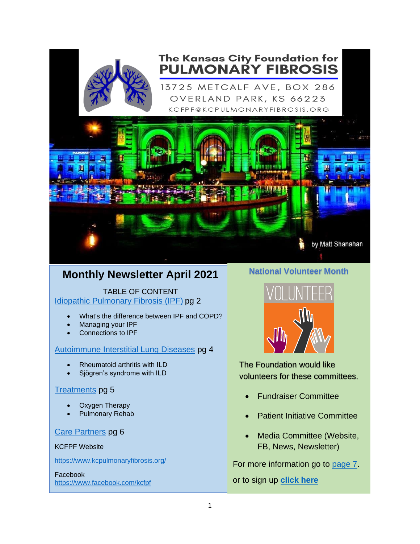

## **Monthly Newsletter April 2021**

TABLE OF CONTENT [Idiopathic Pulmonary Fibrosis \(IPF\)](#page-1-0) pg 2

- What's the difference between IPF and COPD?
- Managing your IPF
- Connections to IPF

### [Autoimmune Interstitial Lung Diseases](#page-3-0) pg 4

- Rheumatoid arthritis with ILD
- Sjögren's syndrome with ILD

### [Treatments](#page-4-0) pg 5

- Oxygen Therapy
- Pulmonary Rehab

### [Care Partners](#page-5-0) pg 6

#### KCFPF Website

<https://www.kcpulmonaryfibrosis.org/>

Facebook <https://www.facebook.com/kcfpf>

#### **National Volunteer Month**



 The Foundation would like volunteers for these committees.

- Fundraiser Committee
- **Patient Initiative Committee**
- Media Committee (Website, FB, News, Newsletter)

For more information go to [page 7.](#page-6-0) or to sign up **[click here](https://www.kcpulmonaryfibrosis.org/want-to-help)**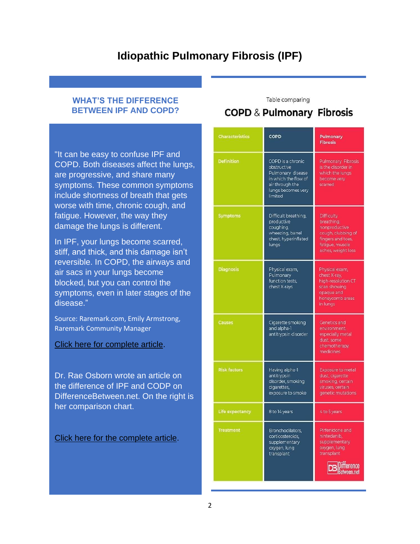# **Idiopathic Pulmonary Fibrosis (IPF)**

#### <span id="page-1-0"></span>**WHAT'S THE DIFFERENCE BETWEEN IPF AND COPD?**

"It can be easy to confuse IPF and COPD. Both diseases affect the lungs, are progressive, and share many symptoms. These common symptoms include shortness of breath that gets worse with time, chronic cough, and fatigue. However, the way they damage the lungs is different.

In IPF, your lungs become scarred, stiff, and thick, and this damage isn't reversible. In COPD, the airways and air sacs in your lungs become blocked, but you can control the symptoms, even in later stages of the disease."

Source: Raremark.com, Emily Armstrong, Raremark Community Manager

#### [Click here for complete article.](https://raremark.com/idiopathic-pulmonary-fibrosis-ipf/articles/whats-the-difference-between-ipf-and-copd--979?utm_source=twitter&utm_medium=socialmedia&utm_campaign=ipf_socialposts&utm_content=ipf-copd)

Dr. Rae Osborn wrote an article on the difference of IPF and CODP on DifferenceBetween.net. On the right is her comparison chart.

#### [Click here for the complete article.](http://www.differencebetween.net/science/health/difference-between-copd-and-pulmonary-fibrosis/)

### Table comparing **COPD & Pulmonary Fibrosis**

| <b>Characteristics</b> | <b>COPD</b>                                                                                                                       | <b>Pulmonary</b><br><b>Fibrosis</b>                                                                                                  |
|------------------------|-----------------------------------------------------------------------------------------------------------------------------------|--------------------------------------------------------------------------------------------------------------------------------------|
| <b>Definition</b>      | COPD is a chronic<br>obstructive<br>Pulmonary disease<br>in which the flow of<br>air through the<br>lungs becomes very<br>limited | <b>Pulmonary Fibrosis</b><br>is the disorder in<br>which the lungs<br>become very<br>scarred                                         |
| <b>Symptoms</b>        | Difficult breathing,<br>productive<br>coughing,<br>wheezing, barrel<br>chest, hyperinflated<br>lungs                              | <b>Difficulty</b><br>breathing.<br>nonproductive<br>cough, clubbing of<br>fingers and toes.<br>fatigue, muscle<br>aches, weight loss |
| <b>Diagnosis</b>       | Physical exam,<br>Pulmonary<br>function tests,<br>chest X-rays                                                                    | Physical exam,<br>chest X-ray.<br>high-resolution CT<br>scan showing<br>opaque and<br>honeycomb areas<br>in lungs                    |
| <b>Causes</b>          | Cigarette smoking<br>and alpha-1<br>antitrypsin disorder                                                                          | Genetics and<br>environment,<br>especially metal<br>dust, some<br>chemotherapy<br>medicines                                          |
| <b>Risk factors</b>    | Having alpha-1<br>antitrypsin<br>disorder, smoking<br>cigarettes,<br>exposure to smoke                                            | <b>Exposure to metal</b><br>dust, cigarette<br>smoking, certain<br>viruses, certain<br>genetic mutations                             |
| Life expectancy        | 8 to 14 years                                                                                                                     | 4 to 5 years                                                                                                                         |
| <b>Treatment</b>       | Bronchodilators,<br>corticosteroids,<br>supplementary<br>oxygen, lung<br>transplant                                               | Pirfenidone and<br>nintedanib.<br>supplementary<br>oxygen, lung<br>transplant<br>setween net                                         |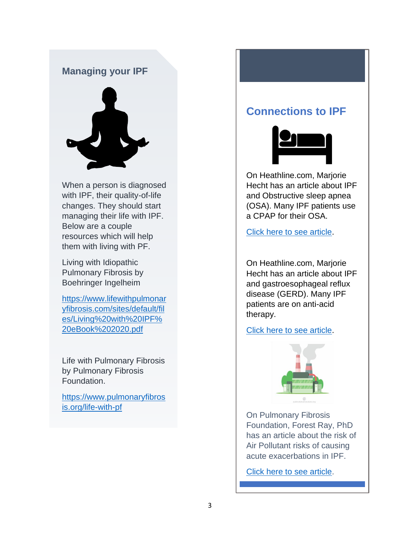### **Managing your IPF**



When a person is diagnosed with IPF, their quality-of-life changes. They should start managing their life with IPF. Below are a couple resources which will help them with living with PF.

Living with Idiopathic Pulmonary Fibrosis by Boehringer Ingelheim

[https://www.lifewithpulmonar](https://www.lifewithpulmonaryfibrosis.com/sites/default/files/Living%20with%20IPF%20eBook%202020.pdf) [yfibrosis.com/sites/default/fil](https://www.lifewithpulmonaryfibrosis.com/sites/default/files/Living%20with%20IPF%20eBook%202020.pdf) [es/Living%20with%20IPF%](https://www.lifewithpulmonaryfibrosis.com/sites/default/files/Living%20with%20IPF%20eBook%202020.pdf) [20eBook%202020.pdf](https://www.lifewithpulmonaryfibrosis.com/sites/default/files/Living%20with%20IPF%20eBook%202020.pdf)

Life with Pulmonary Fibrosis by Pulmonary Fibrosis Foundation.

[https://www.pulmonaryfibros](https://www.pulmonaryfibrosis.org/life-with-pf) [is.org/life-with-pf](https://www.pulmonaryfibrosis.org/life-with-pf)

# **Connections to IPF**



On Heathline.com, Marjorie Hecht has an article about IPF and Obstructive sleep apnea (OSA). Many IPF patients use a CPAP for their OSA.

[Click here to see article.](https://www.healthline.com/health/managing-idiopathic-pulmonary-fibrosis/crucial-connection-between-sleep-disorders-and-ipf)

On Heathline.com, Marjorie Hecht has an article about IPF and gastroesophageal reflux disease (GERD). Many IPF patients are on anti-acid therapy.

[Click here to see article.](https://www.healthline.com/health/managing-idiopathic-pulmonary-fibrosis/gerd-and-ipf)



On Pulmonary Fibrosis Foundation, Forest Ray, PhD has an article about the risk of Air Pollutant risks of causing acute exacerbations in IPF.

[Click here to see article.](https://pulmonaryfibrosisnews.com/2021/03/26/fine-particulate-air-pollutants-raise-risk-of-acute-ipf-flare-ups/)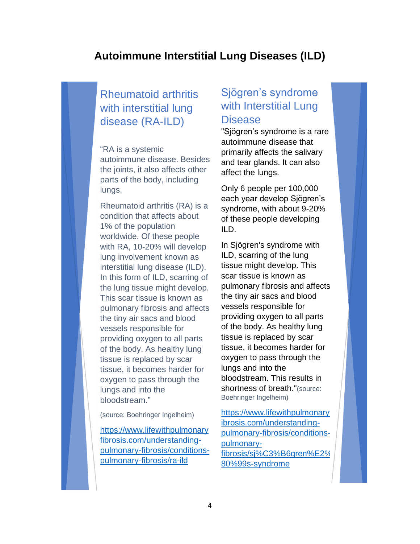### <span id="page-3-0"></span>**Autoimmune Interstitial Lung Diseases (ILD)**

# Rheumatoid arthritis with interstitial lung disease (RA-ILD)

"RA is a systemic autoimmune disease. Besides the joints, it also affects other parts of the body, including lungs.

Rheumatoid arthritis (RA) is a condition that affects about 1% of the population worldwide. Of these people with RA, 10-20% will develop lung involvement known as interstitial lung disease (ILD). In this form of ILD, scarring of the lung tissue might develop. This scar tissue is known as pulmonary fibrosis and affects the tiny air sacs and blood vessels responsible for providing oxygen to all parts of the body. As healthy lung tissue is replaced by scar tissue, it becomes harder for oxygen to pass through the lungs and into the bloodstream."

(source: Boehringer Ingelheim)

[https://www.lifewithpulmonary](https://www.lifewithpulmonaryfibrosis.com/understanding-pulmonary-fibrosis/conditions-pulmonary-fibrosis/ra-ild) [fibrosis.com/understanding](https://www.lifewithpulmonaryfibrosis.com/understanding-pulmonary-fibrosis/conditions-pulmonary-fibrosis/ra-ild)[pulmonary-fibrosis/conditions](https://www.lifewithpulmonaryfibrosis.com/understanding-pulmonary-fibrosis/conditions-pulmonary-fibrosis/ra-ild)[pulmonary-fibrosis/ra-ild](https://www.lifewithpulmonaryfibrosis.com/understanding-pulmonary-fibrosis/conditions-pulmonary-fibrosis/ra-ild)

## Sjögren's syndrome with Interstitial Lung **Disease**

"Sjögren's syndrome is a rare autoimmune disease that primarily affects the salivary and tear glands. It can also affect the lungs.

Only 6 people per 100,000 each year develop Sjögren's syndrome, with about 9-20% of these people developing ILD.

In Sjögren's syndrome with ILD, scarring of the lung tissue might develop. This scar tissue is known as pulmonary fibrosis and affects the tiny air sacs and blood vessels responsible for providing oxygen to all parts of the body. As healthy lung tissue is replaced by scar tissue, it becomes harder for oxygen to pass through the lungs and into the bloodstream. This results in shortness of breath."(source: Boehringer Ingelheim)

https://www.lifewithpulmonary [ibrosis.com/understanding](https://www.lifewithpulmonaryfibrosis.com/understanding-pulmonary-fibrosis/conditions-pulmonary-fibrosis/sj%C3%B6gren%E2%80%99s-syndrome)[pulmonary-fibrosis/conditions](https://www.lifewithpulmonaryfibrosis.com/understanding-pulmonary-fibrosis/conditions-pulmonary-fibrosis/sj%C3%B6gren%E2%80%99s-syndrome)[pulmonary](https://www.lifewithpulmonaryfibrosis.com/understanding-pulmonary-fibrosis/conditions-pulmonary-fibrosis/sj%C3%B6gren%E2%80%99s-syndrome)[fibrosis/sj%C3%B6gren%E2%](https://www.lifewithpulmonaryfibrosis.com/understanding-pulmonary-fibrosis/conditions-pulmonary-fibrosis/sj%C3%B6gren%E2%80%99s-syndrome) [80%99s-syndrome](https://www.lifewithpulmonaryfibrosis.com/understanding-pulmonary-fibrosis/conditions-pulmonary-fibrosis/sj%C3%B6gren%E2%80%99s-syndrome)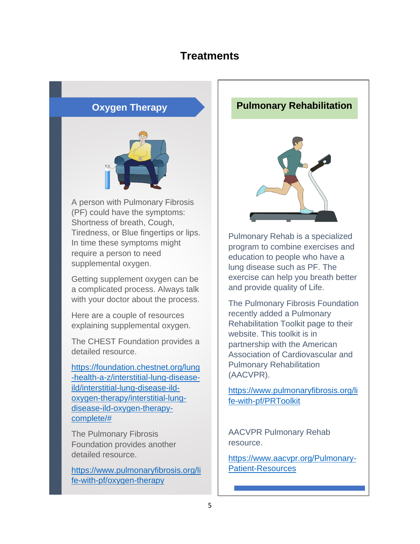## **Treatments**

## <span id="page-4-0"></span>**Oxygen Therapy**



A person with Pulmonary Fibrosis (PF) could have the symptoms: Shortness of breath, Cough, Tiredness, or Blue fingertips or lips. In time these symptoms might require a person to need supplemental oxygen.

Getting supplement oxygen can be a complicated process. Always talk with your doctor about the process.

Here are a couple of resources explaining supplemental oxygen.

The CHEST Foundation provides a detailed resource.

[https://foundation.chestnet.org/lung](https://foundation.chestnet.org/lung-health-a-z/interstitial-lung-disease-ild/interstitial-lung-disease-ild-oxygen-therapy/interstitial-lung-disease-ild-oxygen-therapy-complete/) [-health-a-z/interstitial-lung-disease](https://foundation.chestnet.org/lung-health-a-z/interstitial-lung-disease-ild/interstitial-lung-disease-ild-oxygen-therapy/interstitial-lung-disease-ild-oxygen-therapy-complete/)[ild/interstitial-lung-disease-ild](https://foundation.chestnet.org/lung-health-a-z/interstitial-lung-disease-ild/interstitial-lung-disease-ild-oxygen-therapy/interstitial-lung-disease-ild-oxygen-therapy-complete/)[oxygen-therapy/interstitial-lung](https://foundation.chestnet.org/lung-health-a-z/interstitial-lung-disease-ild/interstitial-lung-disease-ild-oxygen-therapy/interstitial-lung-disease-ild-oxygen-therapy-complete/)[disease-ild-oxygen-therapy](https://foundation.chestnet.org/lung-health-a-z/interstitial-lung-disease-ild/interstitial-lung-disease-ild-oxygen-therapy/interstitial-lung-disease-ild-oxygen-therapy-complete/)[complete/#](https://foundation.chestnet.org/lung-health-a-z/interstitial-lung-disease-ild/interstitial-lung-disease-ild-oxygen-therapy/interstitial-lung-disease-ild-oxygen-therapy-complete/)

The Pulmonary Fibrosis Foundation provides another detailed resource.

[https://www.pulmonaryfibrosis.org/li](https://www.pulmonaryfibrosis.org/life-with-pf/oxygen-therapy) [fe-with-pf/oxygen-therapy](https://www.pulmonaryfibrosis.org/life-with-pf/oxygen-therapy)

**Pulmonary Rehabilitation**



Pulmonary Rehab is a specialized program to combine exercises and education to people who have a lung disease such as PF. The exercise can help you breath better and provide quality of Life.

The Pulmonary Fibrosis Foundation recently added a Pulmonary Rehabilitation Toolkit page to their website. This toolkit is in partnership with the American Association of Cardiovascular and Pulmonary Rehabilitation (AACVPR).

[https://www.pulmonaryfibrosis.org/li](https://www.pulmonaryfibrosis.org/life-with-pf/PRToolkit) [fe-with-pf/PRToolkit](https://www.pulmonaryfibrosis.org/life-with-pf/PRToolkit)

AACVPR Pulmonary Rehab resource.

[https://www.aacvpr.org/Pulmonary-](https://www.aacvpr.org/Pulmonary-Patient-Resources)[Patient-Resources](https://www.aacvpr.org/Pulmonary-Patient-Resources)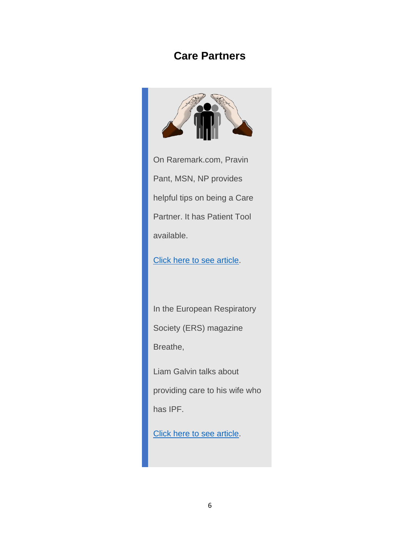# **Care Partners**

<span id="page-5-0"></span>

On Raremark.com, Pravin Pant, MSN, NP provides helpful tips on being a Care Partner. It has Patient Tool available.

[Click here to see article.](https://raremark.com/idiopathic-pulmonary-fibrosis-ipf/articles/you-and-your-ipf-caregiver--1166?utm_source=twitter&utm_medium=socialmedia&utm_campaign=ipf_socialposts&utm_content=ipf_cargiver)

In the European Respiratory Society (ERS) magazine

Breathe,

Liam Galvin talks about

providing care to his wife who

has IPF.

[Click here to see article.](https://breathe.ersjournals.com/content/17/1/200327)